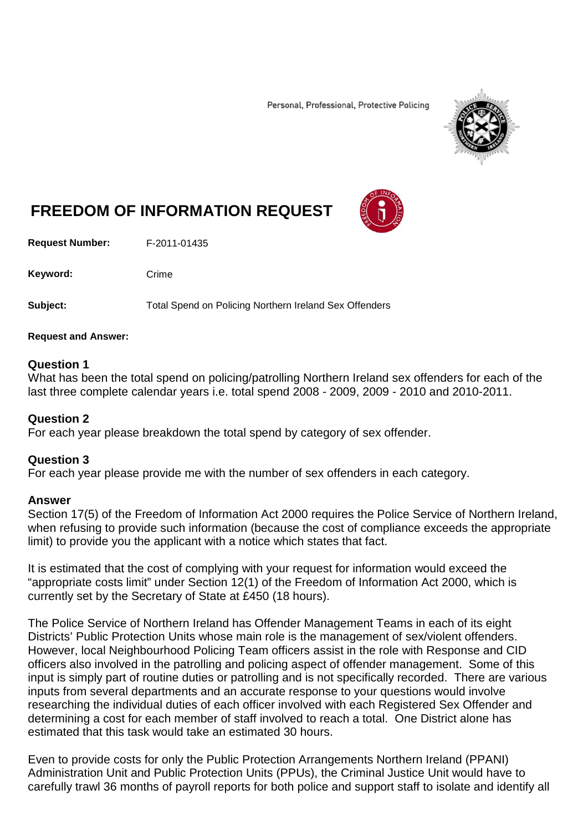Personal, Professional, Protective Policing



# **FREEDOM OF INFORMATION REQUEST**

**Request Number:** F-2011-01435

Keyword: Crime

**Subject:** Total Spend on Policing Northern Ireland Sex Offenders

**Request and Answer:**

# **Question 1**

What has been the total spend on policing/patrolling Northern Ireland sex offenders for each of the last three complete calendar years i.e. total spend 2008 - 2009, 2009 - 2010 and 2010-2011.

### **Question 2**

For each year please breakdown the total spend by category of sex offender.

# **Question 3**

For each year please provide me with the number of sex offenders in each category.

# **Answer**

Section 17(5) of the Freedom of Information Act 2000 requires the Police Service of Northern Ireland, when refusing to provide such information (because the cost of compliance exceeds the appropriate limit) to provide you the applicant with a notice which states that fact.

It is estimated that the cost of complying with your request for information would exceed the "appropriate costs limit" under Section 12(1) of the Freedom of Information Act 2000, which is currently set by the Secretary of State at £450 (18 hours).

The Police Service of Northern Ireland has Offender Management Teams in each of its eight Districts' Public Protection Units whose main role is the management of sex/violent offenders. However, local Neighbourhood Policing Team officers assist in the role with Response and CID officers also involved in the patrolling and policing aspect of offender management. Some of this input is simply part of routine duties or patrolling and is not specifically recorded. There are various inputs from several departments and an accurate response to your questions would involve researching the individual duties of each officer involved with each Registered Sex Offender and determining a cost for each member of staff involved to reach a total. One District alone has estimated that this task would take an estimated 30 hours.

Even to provide costs for only the Public Protection Arrangements Northern Ireland (PPANI) Administration Unit and Public Protection Units (PPUs), the Criminal Justice Unit would have to carefully trawl 36 months of payroll reports for both police and support staff to isolate and identify all